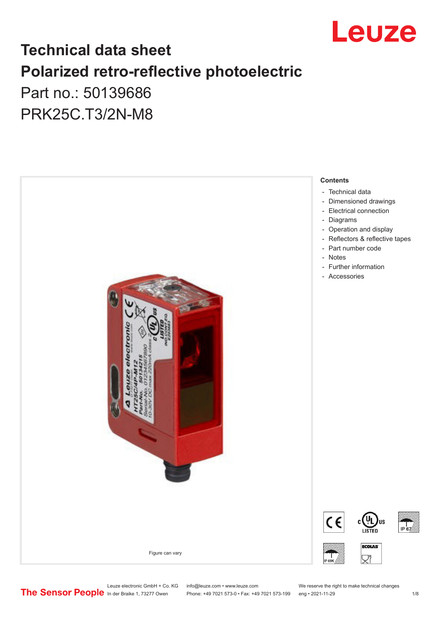

# **Technical data sheet Polarized retro-reflective photoelectric**  Part no.: 50139686

PRK25C.T3/2N-M8



# Leuze electronic GmbH + Co. KG info@leuze.com • www.leuze.com We reserve the right to make technical changes<br>
The Sensor People in der Braike 1, 73277 Owen Phone: +49 7021 573-0 • Fax: +49 7021 573-199 eng • 2021-11-29

Phone: +49 7021 573-0 • Fax: +49 7021 573-199 eng • 2021-11-29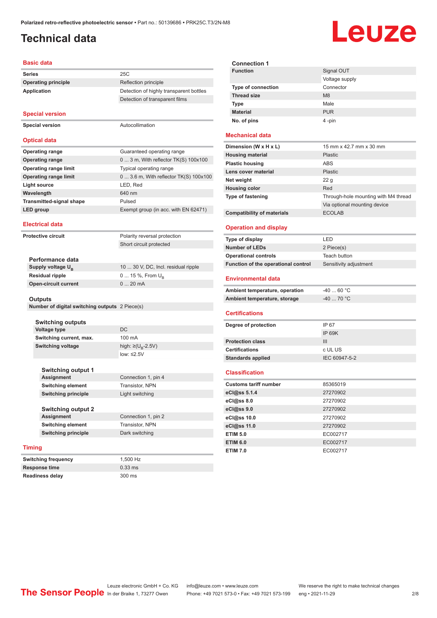#### <span id="page-1-0"></span>**Technical data**

# Leuze

#### **Basic data**

|                                 | <b>Basic data</b>                              |                                         |
|---------------------------------|------------------------------------------------|-----------------------------------------|
|                                 | <b>Series</b>                                  | 25C                                     |
|                                 | <b>Operating principle</b>                     | Reflection principle                    |
| <b>Application</b>              |                                                | Detection of highly transparent bottles |
|                                 |                                                | Detection of transparent films          |
|                                 | <b>Special version</b>                         |                                         |
| <b>Special version</b>          |                                                | Autocollimation                         |
|                                 | <b>Optical data</b>                            |                                         |
|                                 |                                                |                                         |
|                                 | <b>Operating range</b>                         | Guaranteed operating range              |
|                                 | <b>Operating range</b>                         | 0  3 m, With reflector TK(S) 100x100    |
|                                 | <b>Operating range limit</b>                   | Typical operating range                 |
|                                 | <b>Operating range limit</b>                   | 0  3.6 m, With reflector TK(S) 100x100  |
|                                 | Light source                                   | LED, Red                                |
|                                 | Wavelength                                     | 640 nm                                  |
| <b>Transmitted-signal shape</b> |                                                | Pulsed                                  |
| LED group                       |                                                | Exempt group (in acc. with EN 62471)    |
| <b>Electrical data</b>          |                                                |                                         |
| <b>Protective circuit</b>       |                                                | Polarity reversal protection            |
|                                 |                                                | Short circuit protected                 |
|                                 | Performance data                               |                                         |
|                                 | Supply voltage U <sub>B</sub>                  | 10  30 V, DC, Incl. residual ripple     |
|                                 | <b>Residual ripple</b>                         | 0  15 %, From $U_{\rm B}$               |
|                                 | <b>Open-circuit current</b>                    | 020mA                                   |
|                                 |                                                |                                         |
|                                 | <b>Outputs</b>                                 |                                         |
|                                 | Number of digital switching outputs 2 Piece(s) |                                         |
|                                 |                                                |                                         |
|                                 | <b>Switching outputs</b>                       | DC                                      |
|                                 | <b>Voltage type</b>                            |                                         |
|                                 | Switching current, max.                        | 100 mA                                  |
|                                 | <b>Switching voltage</b>                       | high: $\geq (U_p - 2.5V)$               |
|                                 |                                                | low: $\leq 2.5V$                        |
|                                 |                                                |                                         |

| <b>Switching output 1</b>  |                     |
|----------------------------|---------------------|
| Assignment                 | Connection 1, pin 4 |
| <b>Switching element</b>   | Transistor, NPN     |
| <b>Switching principle</b> | Light switching     |
| <b>Switching output 2</b>  |                     |
| <b>Assignment</b>          | Connection 1, pin 2 |
| <b>Switching element</b>   | Transistor, NPN     |

**Switching principle** Dark switching

#### **Timing**

| <b>Switching frequency</b> | 1.500 Hz  |
|----------------------------|-----------|
| <b>Response time</b>       | $0.33$ ms |
| <b>Readiness delay</b>     | 300 ms    |

| <b>Connection 1</b>       |                |
|---------------------------|----------------|
| <b>Function</b>           | Signal OUT     |
|                           | Voltage supply |
| <b>Type of connection</b> | Connector      |
| <b>Thread size</b>        | M <sub>8</sub> |
| <b>Type</b>               | Male           |
| <b>Material</b>           | <b>PUR</b>     |
| No. of pins               | 4-pin          |

#### **Mechanical data**

| Dimension (W x H x L)             | 15 mm x 42.7 mm x 30 mm              |
|-----------------------------------|--------------------------------------|
| <b>Housing material</b>           | <b>Plastic</b>                       |
| <b>Plastic housing</b>            | <b>ABS</b>                           |
| Lens cover material               | <b>Plastic</b>                       |
| Net weight                        | 22q                                  |
| <b>Housing color</b>              | Red                                  |
| <b>Type of fastening</b>          | Through-hole mounting with M4 thread |
|                                   | Via optional mounting device         |
| <b>Compatibility of materials</b> | <b>ECOLAB</b>                        |

#### **Operation and display**

| Type of display                     | I FD                   |
|-------------------------------------|------------------------|
| <b>Number of LEDs</b>               | 2 Piece(s)             |
| <b>Operational controls</b>         | Teach button           |
| Function of the operational control | Sensitivity adjustment |

#### **Environmental data**

| Ambient temperature, operation | -40  60 °C |
|--------------------------------|------------|
| Ambient temperature, storage   | -40  70 °C |

#### **Certifications**

| Degree of protection     | IP 67         |
|--------------------------|---------------|
|                          | IP 69K        |
| <b>Protection class</b>  | Ш             |
| <b>Certifications</b>    | c UL US       |
| <b>Standards applied</b> | IEC 60947-5-2 |
|                          |               |

#### **Classification**

| <b>Customs tariff number</b> | 85365019 |
|------------------------------|----------|
| eCl@ss 5.1.4                 | 27270902 |
| $eC/\omega$ ss 8.0           | 27270902 |
| eCl@ss 9.0                   | 27270902 |
| eCl@ss 10.0                  | 27270902 |
| eCl@ss 11.0                  | 27270902 |
| <b>ETIM 5.0</b>              | EC002717 |
| <b>ETIM 6.0</b>              | EC002717 |
| <b>ETIM 7.0</b>              | EC002717 |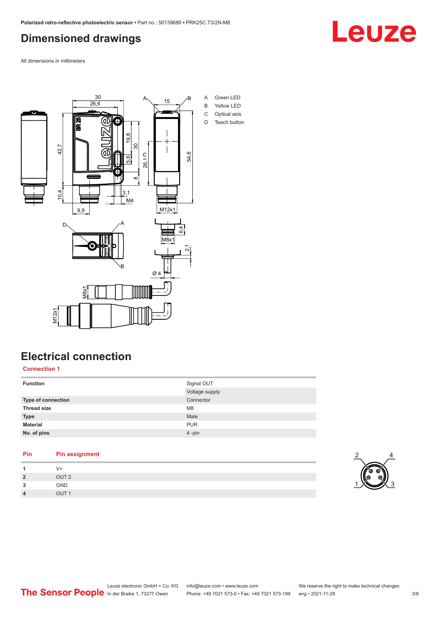## <span id="page-2-0"></span>**Dimensioned drawings**

Leuze

All dimensions in millimeters



## **Electrical connection**

**Connection 1**

| <b>Function</b>    | Signal OUT<br>Voltage supply |
|--------------------|------------------------------|
| Type of connection | Connector                    |
| <b>Thread size</b> | M <sub>8</sub>               |
| <b>Type</b>        | Male                         |
| <b>Material</b>    | <b>PUR</b>                   |
| No. of pins        | 4-pin                        |

| Pin            | <b>Pin assignment</b> |
|----------------|-----------------------|
|                | V+                    |
| $\overline{2}$ | OUT <sub>2</sub>      |
| 3              | <b>GND</b>            |
| $\overline{4}$ | OUT <sub>1</sub>      |

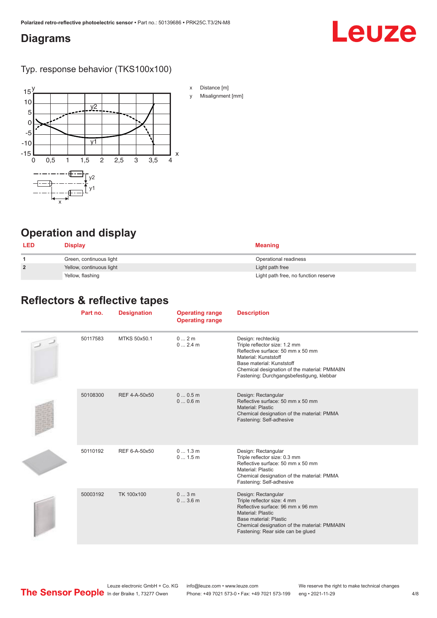#### <span id="page-3-0"></span>**Diagrams**

# Leuze

Typ. response behavior (TKS100x100)



- x Distance [m]
- y Misalignment [mm]

# **Operation and display**

| <b>LED</b>     | <b>Display</b>           | Meaning                              |
|----------------|--------------------------|--------------------------------------|
|                | Green, continuous light  | Operational readiness                |
| $\overline{2}$ | Yellow, continuous light | Light path free                      |
|                | Yellow, flashing         | Light path free, no function reserve |

#### **Reflectors & reflective tapes**

| Part no. | <b>Designation</b> | <b>Operating range</b><br><b>Operating range</b> | <b>Description</b>                                                                                                                                                                                                                         |
|----------|--------------------|--------------------------------------------------|--------------------------------------------------------------------------------------------------------------------------------------------------------------------------------------------------------------------------------------------|
| 50117583 | MTKS 50x50.1       | 0 2m<br>02.4m                                    | Design: rechteckig<br>Triple reflector size: 1.2 mm<br>Reflective surface: 50 mm x 50 mm<br>Material: Kunststoff<br>Base material: Kunststoff<br>Chemical designation of the material: PMMA8N<br>Fastening: Durchgangsbefestigung, klebbar |
| 50108300 | REF 4-A-50x50      | 00.5m<br>00.6m                                   | Design: Rectangular<br>Reflective surface: 50 mm x 50 mm<br>Material: Plastic<br>Chemical designation of the material: PMMA<br>Fastening: Self-adhesive                                                                                    |
| 50110192 | REF 6-A-50x50      | 0 1.3 m<br>01.5m                                 | Design: Rectangular<br>Triple reflector size: 0.3 mm<br>Reflective surface: 50 mm x 50 mm<br>Material: Plastic<br>Chemical designation of the material: PMMA<br>Fastening: Self-adhesive                                                   |
| 50003192 | TK 100x100         | 03m<br>03.6m                                     | Design: Rectangular<br>Triple reflector size: 4 mm<br>Reflective surface: 96 mm x 96 mm<br>Material: Plastic<br>Base material: Plastic<br>Chemical designation of the material: PMMA8N<br>Fastening: Rear side can be glued                |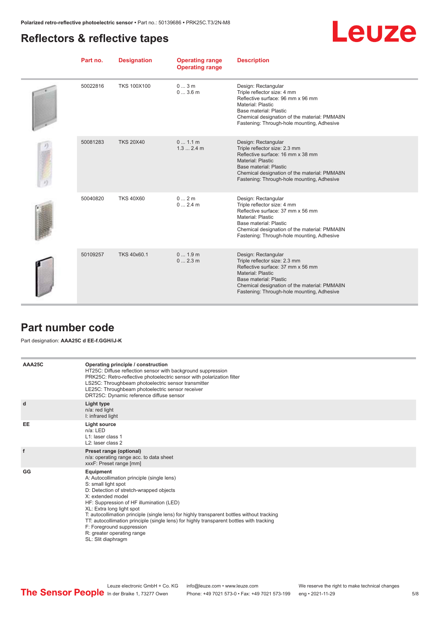#### <span id="page-4-0"></span>**Reflectors & reflective tapes**

|--|--|

| Part no. | <b>Designation</b> | <b>Operating range</b><br><b>Operating range</b> | <b>Description</b>                                                                                                                                                                                                                            |
|----------|--------------------|--------------------------------------------------|-----------------------------------------------------------------------------------------------------------------------------------------------------------------------------------------------------------------------------------------------|
| 50022816 | <b>TKS 100X100</b> | 03m<br>03.6m                                     | Design: Rectangular<br>Triple reflector size: 4 mm<br>Reflective surface: 96 mm x 96 mm<br><b>Material: Plastic</b><br>Base material: Plastic<br>Chemical designation of the material: PMMA8N<br>Fastening: Through-hole mounting, Adhesive   |
| 50081283 | <b>TKS 20X40</b>   | 01.1m<br>1.32.4m                                 | Design: Rectangular<br>Triple reflector size: 2.3 mm<br>Reflective surface: 16 mm x 38 mm<br><b>Material: Plastic</b><br>Base material: Plastic<br>Chemical designation of the material: PMMA8N<br>Fastening: Through-hole mounting, Adhesive |
| 50040820 | <b>TKS 40X60</b>   | 02m<br>02.4m                                     | Design: Rectangular<br>Triple reflector size: 4 mm<br>Reflective surface: 37 mm x 56 mm<br>Material: Plastic<br>Base material: Plastic<br>Chemical designation of the material: PMMA8N<br>Fastening: Through-hole mounting, Adhesive          |
| 50109257 | TKS 40x60.1        | 01.9m<br>02.3m                                   | Design: Rectangular<br>Triple reflector size: 2.3 mm<br>Reflective surface: 37 mm x 56 mm<br><b>Material: Plastic</b><br>Base material: Plastic<br>Chemical designation of the material: PMMA8N<br>Fastening: Through-hole mounting, Adhesive |

#### **Part number code**

#### Part designation: **AAA25C d EE-f.GGH/iJ-K**

| AAA25C | Operating principle / construction<br>HT25C: Diffuse reflection sensor with background suppression<br>PRK25C: Retro-reflective photoelectric sensor with polarization filter<br>LS25C: Throughbeam photoelectric sensor transmitter<br>LE25C: Throughbeam photoelectric sensor receiver<br>DRT25C: Dynamic reference diffuse sensor                                                                                                                                                                |
|--------|----------------------------------------------------------------------------------------------------------------------------------------------------------------------------------------------------------------------------------------------------------------------------------------------------------------------------------------------------------------------------------------------------------------------------------------------------------------------------------------------------|
| d      | Light type<br>n/a: red light<br>I: infrared light                                                                                                                                                                                                                                                                                                                                                                                                                                                  |
| EE     | Light source<br>$n/a$ : LED<br>L1: laser class 1<br>L2: laser class 2                                                                                                                                                                                                                                                                                                                                                                                                                              |
| f      | Preset range (optional)<br>n/a: operating range acc. to data sheet<br>xxxF: Preset range [mm]                                                                                                                                                                                                                                                                                                                                                                                                      |
| GG     | Equipment<br>A: Autocollimation principle (single lens)<br>S: small light spot<br>D: Detection of stretch-wrapped objects<br>X: extended model<br>HF: Suppression of HF illumination (LED)<br>XL: Extra long light spot<br>T: autocollimation principle (single lens) for highly transparent bottles without tracking<br>TT: autocollimation principle (single lens) for highly transparent bottles with tracking<br>F: Foreground suppression<br>R: greater operating range<br>SL: Slit diaphragm |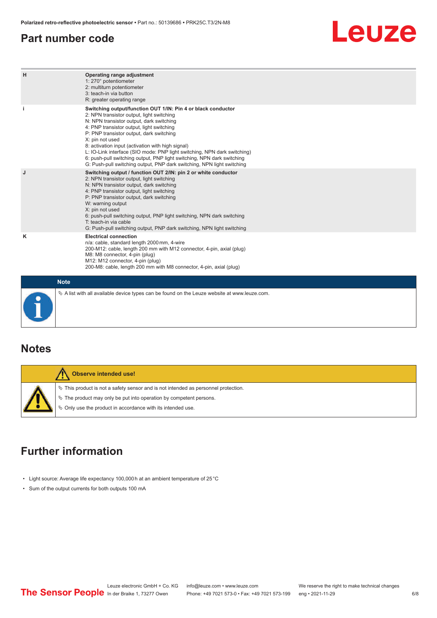#### <span id="page-5-0"></span>**Part number code**

# Leuze

| H           | Operating range adjustment<br>1: 270° potentiometer<br>2: multiturn potentiometer<br>3: teach-in via button<br>R: greater operating range                                                                                                                                                                                                                                                                                                                                                                                                              |
|-------------|--------------------------------------------------------------------------------------------------------------------------------------------------------------------------------------------------------------------------------------------------------------------------------------------------------------------------------------------------------------------------------------------------------------------------------------------------------------------------------------------------------------------------------------------------------|
| j.          | Switching output/function OUT 1/IN: Pin 4 or black conductor<br>2: NPN transistor output, light switching<br>N: NPN transistor output, dark switching<br>4: PNP transistor output, light switching<br>P: PNP transistor output, dark switching<br>X: pin not used<br>8: activation input (activation with high signal)<br>L: IO-Link interface (SIO mode: PNP light switching, NPN dark switching)<br>6: push-pull switching output, PNP light switching, NPN dark switching<br>G: Push-pull switching output, PNP dark switching, NPN light switching |
| J           | Switching output / function OUT 2/IN: pin 2 or white conductor<br>2: NPN transistor output, light switching<br>N: NPN transistor output, dark switching<br>4: PNP transistor output, light switching<br>P: PNP transistor output, dark switching<br>W: warning output<br>X: pin not used<br>6: push-pull switching output, PNP light switching, NPN dark switching<br>T: teach-in via cable<br>G: Push-pull switching output, PNP dark switching, NPN light switching                                                                                  |
| κ           | <b>Electrical connection</b><br>n/a: cable, standard length 2000 mm, 4-wire<br>200-M12: cable, length 200 mm with M12 connector, 4-pin, axial (plug)<br>M8: M8 connector, 4-pin (plug)<br>M12: M12 connector, 4-pin (plug)<br>200-M8: cable, length 200 mm with M8 connector, 4-pin, axial (plug)                                                                                                                                                                                                                                                      |
| <b>Note</b> |                                                                                                                                                                                                                                                                                                                                                                                                                                                                                                                                                        |

#### **Notes**

| Observe intended use!                                                                                                                                                                                                              |
|------------------------------------------------------------------------------------------------------------------------------------------------------------------------------------------------------------------------------------|
| $\%$ This product is not a safety sensor and is not intended as personnel protection.<br>$\%$ The product may only be put into operation by competent persons.<br>$\phi$ Only use the product in accordance with its intended use. |

 $\%$  A list with all available device types can be found on the Leuze website at www.leuze.com.

## **Further information**

- Light source: Average life expectancy 100,000 h at an ambient temperature of 25 °C
- Sum of the output currents for both outputs 100 mA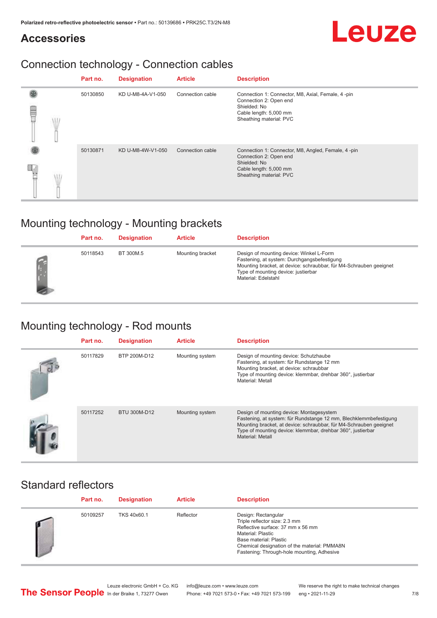#### **Accessories**

## Connection technology - Connection cables

|   | Part no. | <b>Designation</b> | <b>Article</b>   | <b>Description</b>                                                                                                                                |
|---|----------|--------------------|------------------|---------------------------------------------------------------------------------------------------------------------------------------------------|
| ₩ | 50130850 | KD U-M8-4A-V1-050  | Connection cable | Connection 1: Connector, M8, Axial, Female, 4 -pin<br>Connection 2: Open end<br>Shielded: No<br>Cable length: 5,000 mm<br>Sheathing material: PVC |
|   | 50130871 | KD U-M8-4W-V1-050  | Connection cable | Connection 1: Connector, M8, Angled, Female, 4-pin<br>Connection 2: Open end<br>Shielded: No<br>Cable length: 5,000 mm<br>Sheathing material: PVC |

## Mounting technology - Mounting brackets

|    | Part no. | <b>Designation</b> | <b>Article</b>   | <b>Description</b>                                                                                                                                                                                                          |
|----|----------|--------------------|------------------|-----------------------------------------------------------------------------------------------------------------------------------------------------------------------------------------------------------------------------|
| L. | 50118543 | BT 300M.5          | Mounting bracket | Design of mounting device: Winkel L-Form<br>Fastening, at system: Durchgangsbefestigung<br>Mounting bracket, at device: schraubbar, für M4-Schrauben geeignet<br>Type of mounting device: justierbar<br>Material: Edelstahl |

# Mounting technology - Rod mounts

| Part no. | <b>Designation</b> | <b>Article</b>  | <b>Description</b>                                                                                                                                                                                                                                                     |
|----------|--------------------|-----------------|------------------------------------------------------------------------------------------------------------------------------------------------------------------------------------------------------------------------------------------------------------------------|
| 50117829 | BTP 200M-D12       | Mounting system | Design of mounting device: Schutzhaube<br>Fastening, at system: für Rundstange 12 mm<br>Mounting bracket, at device: schraubbar<br>Type of mounting device: klemmbar, drehbar 360°, justierbar<br>Material: Metall                                                     |
| 50117252 | BTU 300M-D12       | Mounting system | Design of mounting device: Montagesystem<br>Fastening, at system: für Rundstange 12 mm, Blechklemmbefestigung<br>Mounting bracket, at device: schraubbar, für M4-Schrauben geeignet<br>Type of mounting device: klemmbar, drehbar 360°, justierbar<br>Material: Metall |

#### Standard reflectors

| Part no. | <b>Designation</b> | <b>Article</b> | <b>Description</b>                                                                                                                                                                                                                     |
|----------|--------------------|----------------|----------------------------------------------------------------------------------------------------------------------------------------------------------------------------------------------------------------------------------------|
| 50109257 | TKS 40x60.1        | Reflector      | Design: Rectangular<br>Triple reflector size: 2.3 mm<br>Reflective surface: 37 mm x 56 mm<br>Material: Plastic<br>Base material: Plastic<br>Chemical designation of the material: PMMA8N<br>Fastening: Through-hole mounting, Adhesive |

Leuze electronic GmbH + Co. KG info@leuze.com • www.leuze.com We reserve the right to make technical changes<br>
The Sensor People in der Braike 1, 73277 Owen Phone: +49 7021 573-0 • Fax: +49 7021 573-199 eng • 2021-11-29

Phone: +49 7021 573-0 • Fax: +49 7021 573-199 eng • 2021-11-29